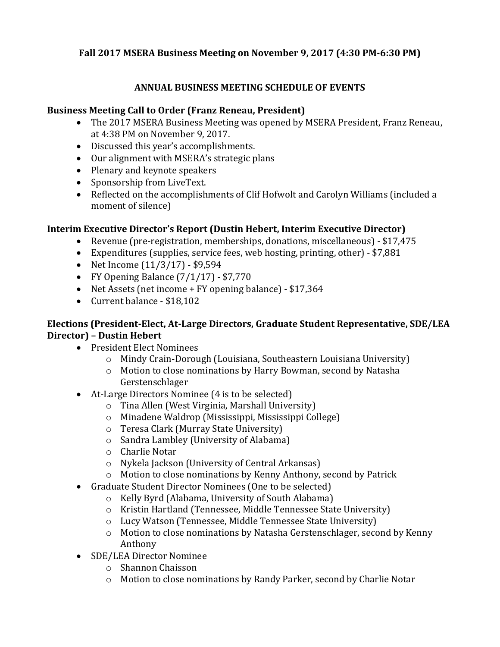## **Fall 2017 MSERA Business Meeting on November 9, 2017 (4:30 PM-6:30 PM)**

## **ANNUAL BUSINESS MEETING SCHEDULE OF EVENTS**

#### **Business Meeting Call to Order (Franz Reneau, President)**

- The 2017 MSERA Business Meeting was opened by MSERA President, Franz Reneau, at 4:38 PM on November 9, 2017.
- Discussed this year's accomplishments.
- Our alignment with MSERA's strategic plans
- Plenary and keynote speakers
- Sponsorship from LiveText.
- Reflected on the accomplishments of Clif Hofwolt and Carolyn Williams (included a moment of silence)

### **Interim Executive Director's Report (Dustin Hebert, Interim Executive Director)**

- Revenue (pre-registration, memberships, donations, miscellaneous) \$17,475
- Expenditures (supplies, service fees, web hosting, printing, other) \$7,881
- Net Income (11/3/17) \$9,594
- FY Opening Balance (7/1/17) \$7,770
- Net Assets (net income + FY opening balance) \$17,364
- Current balance \$18,102

### **Elections (President-Elect, At-Large Directors, Graduate Student Representative, SDE/LEA Director) – Dustin Hebert**

- President Elect Nominees
	- o Mindy Crain-Dorough (Louisiana, Southeastern Louisiana University)
	- o Motion to close nominations by Harry Bowman, second by Natasha Gerstenschlager
- At-Large Directors Nominee (4 is to be selected)
	- o Tina Allen (West Virginia, Marshall University)
	- o Minadene Waldrop (Mississippi, Mississippi College)
	- o Teresa Clark (Murray State University)
	- o Sandra Lambley (University of Alabama)
	- o Charlie Notar
	- o Nykela Jackson (University of Central Arkansas)
	- o Motion to close nominations by Kenny Anthony, second by Patrick
- Graduate Student Director Nominees (One to be selected)
	- o Kelly Byrd (Alabama, University of South Alabama)
	- o Kristin Hartland (Tennessee, Middle Tennessee State University)
	- o Lucy Watson (Tennessee, Middle Tennessee State University)
	- o Motion to close nominations by Natasha Gerstenschlager, second by Kenny Anthony
- SDE/LEA Director Nominee
	- o Shannon Chaisson
	- o Motion to close nominations by Randy Parker, second by Charlie Notar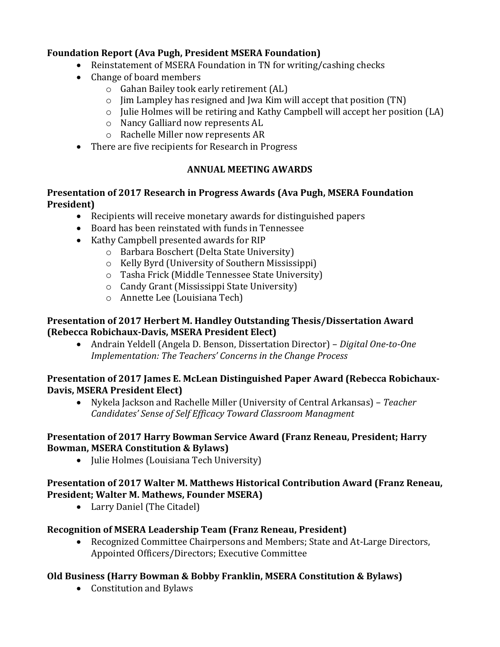## **Foundation Report (Ava Pugh, President MSERA Foundation)**

- Reinstatement of MSERA Foundation in TN for writing/cashing checks
- Change of board members
	- o Gahan Bailey took early retirement (AL)
	- $\circ$  Jim Lampley has resigned and Jwa Kim will accept that position (TN)
	- o Julie Holmes will be retiring and Kathy Campbell will accept her position (LA)
	- o Nancy Galliard now represents AL
	- o Rachelle Miller now represents AR
- There are five recipients for Research in Progress

# **ANNUAL MEETING AWARDS**

## **Presentation of 2017 Research in Progress Awards (Ava Pugh, MSERA Foundation President)**

- Recipients will receive monetary awards for distinguished papers
- Board has been reinstated with funds in Tennessee
- Kathy Campbell presented awards for RIP
	- o Barbara Boschert (Delta State University)
	- o Kelly Byrd (University of Southern Mississippi)
	- o Tasha Frick (Middle Tennessee State University)
	- o Candy Grant (Mississippi State University)
	- o Annette Lee (Louisiana Tech)

# **Presentation of 2017 Herbert M. Handley Outstanding Thesis/Dissertation Award (Rebecca Robichaux-Davis, MSERA President Elect)**

• Andrain Yeldell (Angela D. Benson, Dissertation Director) – *Digital One-to-One Implementation: The Teachers' Concerns in the Change Process*

### **Presentation of 2017 James E. McLean Distinguished Paper Award (Rebecca Robichaux-Davis, MSERA President Elect)**

• Nykela Jackson and Rachelle Miller (University of Central Arkansas) – *Teacher Candidates' Sense of Self Efficacy Toward Classroom Managment*

### **Presentation of 2017 Harry Bowman Service Award (Franz Reneau, President; Harry Bowman, MSERA Constitution & Bylaws)**

• Julie Holmes (Louisiana Tech University)

# **Presentation of 2017 Walter M. Matthews Historical Contribution Award (Franz Reneau, President; Walter M. Mathews, Founder MSERA)**

• Larry Daniel (The Citadel)

# **Recognition of MSERA Leadership Team (Franz Reneau, President)**

• Recognized Committee Chairpersons and Members; State and At-Large Directors, Appointed Officers/Directors; Executive Committee

# **Old Business (Harry Bowman & Bobby Franklin, MSERA Constitution & Bylaws)**

• Constitution and Bylaws